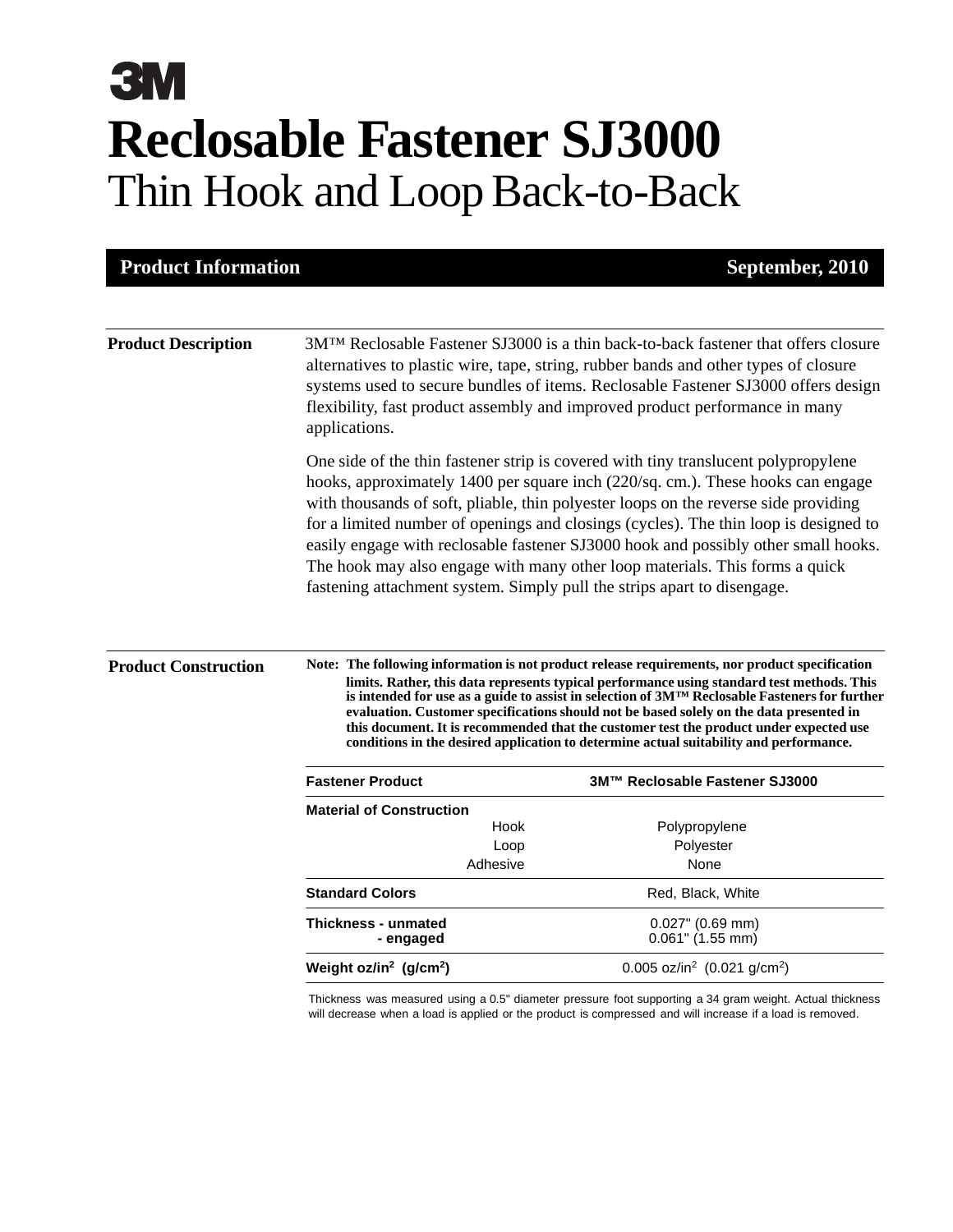# **3M Reclosable Fastener SJ3000** Thin Hook and Loop Back-to-Back

| <b>Product Information</b>              |                                                                                                                                                                                                                                                                                                                                                                                                                                                                                                                                                                                                                                                                                                                                                                                                                                                                                                                                                                         |                                            | September, 2010 |  |  |
|-----------------------------------------|-------------------------------------------------------------------------------------------------------------------------------------------------------------------------------------------------------------------------------------------------------------------------------------------------------------------------------------------------------------------------------------------------------------------------------------------------------------------------------------------------------------------------------------------------------------------------------------------------------------------------------------------------------------------------------------------------------------------------------------------------------------------------------------------------------------------------------------------------------------------------------------------------------------------------------------------------------------------------|--------------------------------------------|-----------------|--|--|
| <b>Product Description</b>              | 3MTM Reclosable Fastener SJ3000 is a thin back-to-back fastener that offers closure<br>alternatives to plastic wire, tape, string, rubber bands and other types of closure<br>systems used to secure bundles of items. Reclosable Fastener SJ3000 offers design<br>flexibility, fast product assembly and improved product performance in many<br>applications.<br>One side of the thin fastener strip is covered with tiny translucent polypropylene<br>hooks, approximately 1400 per square inch (220/sq. cm.). These hooks can engage<br>with thousands of soft, pliable, thin polyester loops on the reverse side providing<br>for a limited number of openings and closings (cycles). The thin loop is designed to<br>easily engage with reclosable fastener SJ3000 hook and possibly other small hooks.<br>The hook may also engage with many other loop materials. This forms a quick<br>fastening attachment system. Simply pull the strips apart to disengage. |                                            |                 |  |  |
|                                         |                                                                                                                                                                                                                                                                                                                                                                                                                                                                                                                                                                                                                                                                                                                                                                                                                                                                                                                                                                         |                                            |                 |  |  |
| <b>Fastener Product</b>                 |                                                                                                                                                                                                                                                                                                                                                                                                                                                                                                                                                                                                                                                                                                                                                                                                                                                                                                                                                                         | 3M™ Reclosable Fastener SJ3000             |                 |  |  |
| <b>Material of Construction</b>         |                                                                                                                                                                                                                                                                                                                                                                                                                                                                                                                                                                                                                                                                                                                                                                                                                                                                                                                                                                         |                                            |                 |  |  |
|                                         | Hook                                                                                                                                                                                                                                                                                                                                                                                                                                                                                                                                                                                                                                                                                                                                                                                                                                                                                                                                                                    | Polypropylene                              |                 |  |  |
|                                         | Loop                                                                                                                                                                                                                                                                                                                                                                                                                                                                                                                                                                                                                                                                                                                                                                                                                                                                                                                                                                    | Polyester                                  |                 |  |  |
|                                         | Adhesive                                                                                                                                                                                                                                                                                                                                                                                                                                                                                                                                                                                                                                                                                                                                                                                                                                                                                                                                                                | None                                       |                 |  |  |
| <b>Standard Colors</b>                  |                                                                                                                                                                                                                                                                                                                                                                                                                                                                                                                                                                                                                                                                                                                                                                                                                                                                                                                                                                         | Red, Black, White                          |                 |  |  |
| <b>Thickness - unmated</b><br>- engaged |                                                                                                                                                                                                                                                                                                                                                                                                                                                                                                                                                                                                                                                                                                                                                                                                                                                                                                                                                                         | $0.027$ " (0.69 mm)<br>$0.061$ " (1.55 mm) |                 |  |  |
|                                         |                                                                                                                                                                                                                                                                                                                                                                                                                                                                                                                                                                                                                                                                                                                                                                                                                                                                                                                                                                         |                                            |                 |  |  |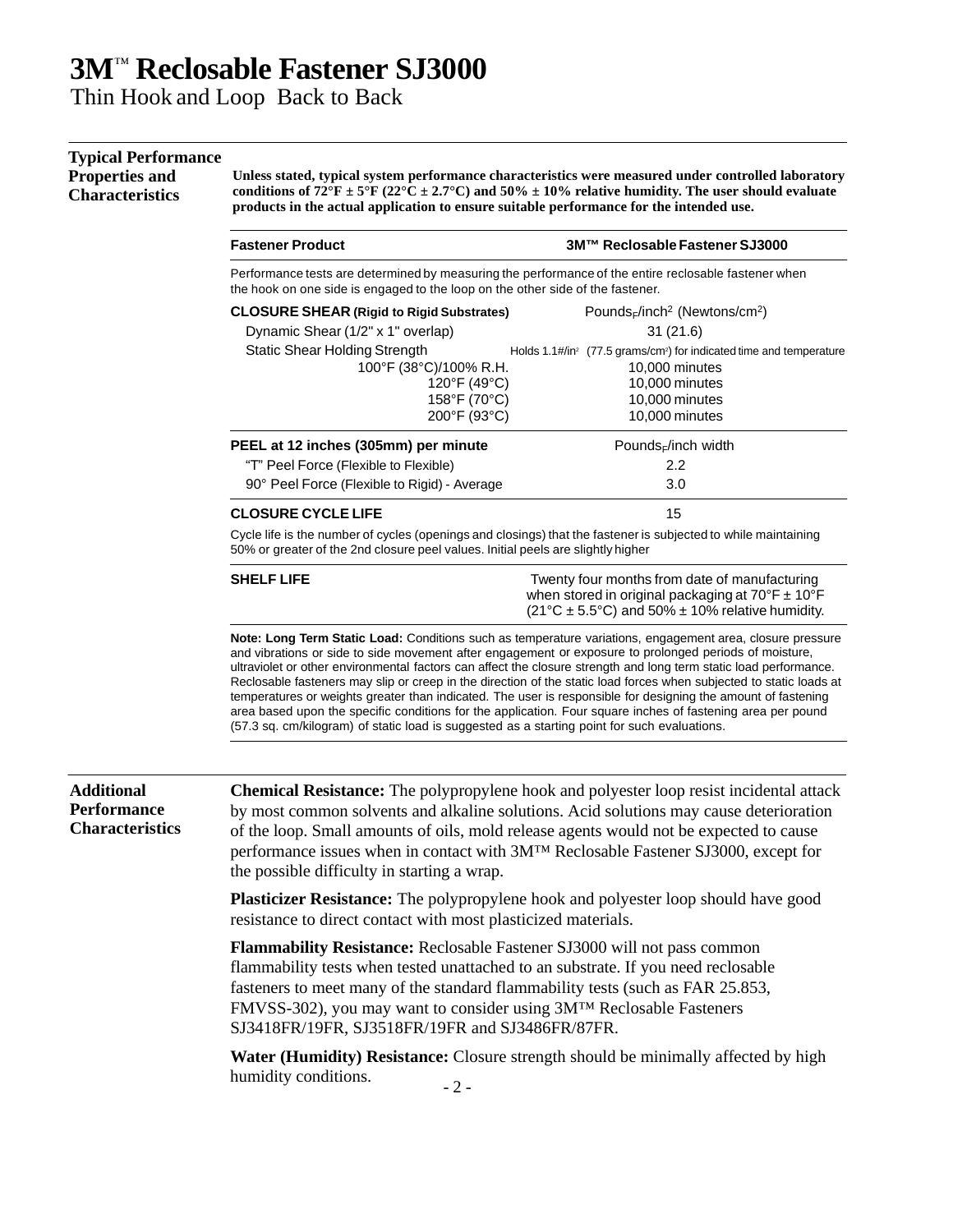### **3M**™ **Reclosable Fastener SJ3000**

Thin Hook and Loop Back to Back

#### **Typical Performance**

**Properties and** 

**Characteristics**

**Unless stated, typical system performance characteristics were measured under controlled laboratory**  conditions of  $72^{\circ}F \pm 5^{\circ}F (22^{\circ}C \pm 2.7^{\circ}C)$  and  $50\% \pm 10\%$  relative humidity. The user should evaluate **products in the actual application to ensure suitable performance for the intended use.**

| <b>Fastener Product</b>                                                                                                                                                                            | 3M™ Reclosable Fastener SJ3000                                                              |  |  |  |  |
|----------------------------------------------------------------------------------------------------------------------------------------------------------------------------------------------------|---------------------------------------------------------------------------------------------|--|--|--|--|
| Performance tests are determined by measuring the performance of the entire reclosable fastener when<br>the hook on one side is engaged to the loop on the other side of the fastener.             |                                                                                             |  |  |  |  |
| <b>CLOSURE SHEAR (Rigid to Rigid Substrates)</b>                                                                                                                                                   | Pounds <sub>F</sub> /inch <sup>2</sup> (Newtons/cm <sup>2</sup> )                           |  |  |  |  |
| Dynamic Shear (1/2" x 1" overlap)                                                                                                                                                                  | 31(21.6)                                                                                    |  |  |  |  |
| <b>Static Shear Holding Strength</b>                                                                                                                                                               | Holds 1.1#/in <sup>2</sup> (77.5 grams/cm <sup>2</sup> ) for indicated time and temperature |  |  |  |  |
| 100°F (38°C)/100% R.H.                                                                                                                                                                             | 10,000 minutes                                                                              |  |  |  |  |
| 120°F (49°C)                                                                                                                                                                                       | 10,000 minutes                                                                              |  |  |  |  |
| 158°F (70°C)                                                                                                                                                                                       | 10,000 minutes                                                                              |  |  |  |  |
| 200°F (93°C)                                                                                                                                                                                       | 10,000 minutes                                                                              |  |  |  |  |
| PEEL at 12 inches (305mm) per minute                                                                                                                                                               | Pounds $E$ inch width                                                                       |  |  |  |  |
| "T" Peel Force (Flexible to Flexible)                                                                                                                                                              | 2.2                                                                                         |  |  |  |  |
| 90° Peel Force (Flexible to Rigid) - Average                                                                                                                                                       | 3.0                                                                                         |  |  |  |  |
| <b>CLOSURE CYCLE LIFE</b>                                                                                                                                                                          | 15                                                                                          |  |  |  |  |
| Cycle life is the number of cycles (openings and closings) that the fastener is subjected to while maintaining<br>50% or greater of the 2nd closure peel values. Initial peels are slightly higher |                                                                                             |  |  |  |  |

**SHELF LIFE TWELF LIFE TWELF ASSESS** Twenty four months from date of manufacturing when stored in original packaging at  $70^{\circ}$ F  $\pm$  10°F  $(21^{\circ}C \pm 5.5^{\circ}C)$  and 50%  $\pm$  10% relative humidity.

**Note: Long Term Static Load:** Conditions such as temperature variations, engagement area, closure pressure and vibrations or side to side movement after engagement or exposure to prolonged periods of moisture, ultraviolet or other environmental factors can affect the closure strength and long term static load performance. Reclosable fasteners may slip or creep in the direction of the static load forces when subjected to static loads at temperatures or weights greater than indicated. The user is responsible for designing the amount of fastening area based upon the specific conditions for the application. Four square inches of fastening area per pound (57.3 sq. cm/kilogram) of static load is suggested as a starting point for such evaluations.

#### **Additional Performance Characteristics**

**Chemical Resistance:** The polypropylene hook and polyester loop resist incidental attack by most common solvents and alkaline solutions. Acid solutions may cause deterioration of the loop. Small amounts of oils, mold release agents would not be expected to cause performance issues when in contact with 3M™ Reclosable Fastener SJ3000, except for the possible difficulty in starting a wrap.

**Plasticizer Resistance:** The polypropylene hook and polyester loop should have good resistance to direct contact with most plasticized materials.

**Flammability Resistance:** Reclosable Fastener SJ3000 will not pass common flammability tests when tested unattached to an substrate. If you need reclosable fasteners to meet many of the standard flammability tests (such as FAR 25.853, FMVSS-302), you may want to consider using 3M™ Reclosable Fasteners SJ3418FR/19FR, SJ3518FR/19FR and SJ3486FR/87FR.

**Water (Humidity) Resistance:** Closure strength should be minimally affected by high humidity conditions.  $-2$  -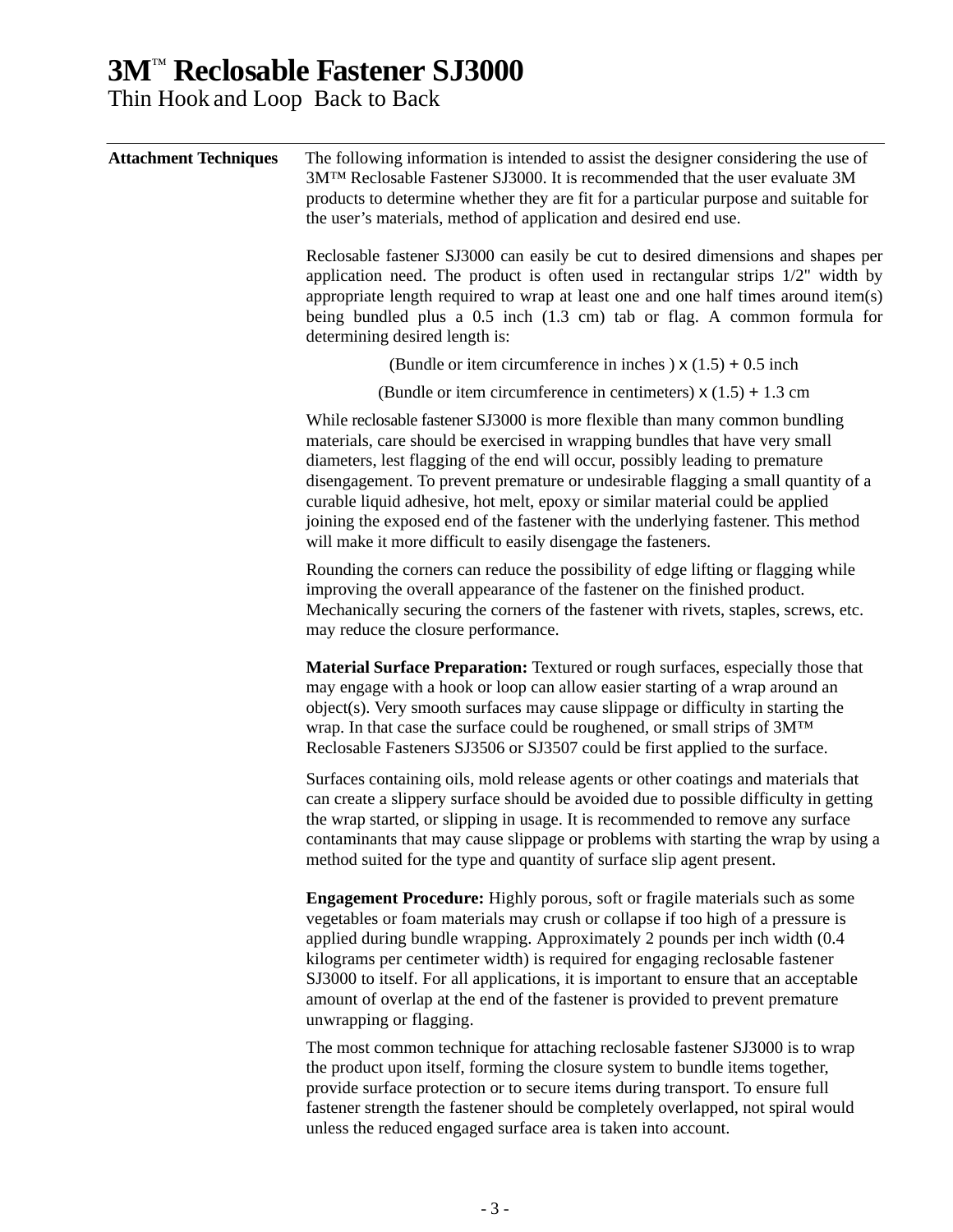### **3M**™ **Reclosable Fastener SJ3000**

Thin Hook and Loop Back to Back

| <b>Attachment Techniques</b> | The following information is intended to assist the designer considering the use of<br>3MTM Reclosable Fastener SJ3000. It is recommended that the user evaluate 3M<br>products to determine whether they are fit for a particular purpose and suitable for<br>the user's materials, method of application and desired end use.                                                                                                                                                                                                                                           |  |  |  |  |
|------------------------------|---------------------------------------------------------------------------------------------------------------------------------------------------------------------------------------------------------------------------------------------------------------------------------------------------------------------------------------------------------------------------------------------------------------------------------------------------------------------------------------------------------------------------------------------------------------------------|--|--|--|--|
|                              | Reclosable fastener SJ3000 can easily be cut to desired dimensions and shapes per<br>application need. The product is often used in rectangular strips 1/2" width by<br>appropriate length required to wrap at least one and one half times around item(s)<br>being bundled plus a $0.5$ inch $(1.3 \text{ cm})$ tab or flag. A common formula for<br>determining desired length is:                                                                                                                                                                                      |  |  |  |  |
|                              | (Bundle or item circumference in inches) $x(1.5) + 0.5$ inch                                                                                                                                                                                                                                                                                                                                                                                                                                                                                                              |  |  |  |  |
|                              | (Bundle or item circumference in centimeters) $x(1.5) + 1.3$ cm                                                                                                                                                                                                                                                                                                                                                                                                                                                                                                           |  |  |  |  |
|                              | While reclosable fastener SJ3000 is more flexible than many common bundling<br>materials, care should be exercised in wrapping bundles that have very small<br>diameters, lest flagging of the end will occur, possibly leading to premature<br>disengagement. To prevent premature or undesirable flagging a small quantity of a<br>curable liquid adhesive, hot melt, epoxy or similar material could be applied<br>joining the exposed end of the fastener with the underlying fastener. This method<br>will make it more difficult to easily disengage the fasteners. |  |  |  |  |
|                              | Rounding the corners can reduce the possibility of edge lifting or flagging while<br>improving the overall appearance of the fastener on the finished product.<br>Mechanically securing the corners of the fastener with rivets, staples, screws, etc.<br>may reduce the closure performance.                                                                                                                                                                                                                                                                             |  |  |  |  |
|                              | Material Surface Preparation: Textured or rough surfaces, especially those that<br>may engage with a hook or loop can allow easier starting of a wrap around an<br>object(s). Very smooth surfaces may cause slippage or difficulty in starting the<br>wrap. In that case the surface could be roughened, or small strips of 3MTM<br>Reclosable Fasteners SJ3506 or SJ3507 could be first applied to the surface.                                                                                                                                                         |  |  |  |  |
|                              | Surfaces containing oils, mold release agents or other coatings and materials that<br>can create a slippery surface should be avoided due to possible difficulty in getting<br>the wrap started, or slipping in usage. It is recommended to remove any surface<br>contaminants that may cause slippage or problems with starting the wrap by using a<br>method suited for the type and quantity of surface slip agent present.                                                                                                                                            |  |  |  |  |
|                              | <b>Engagement Procedure:</b> Highly porous, soft or fragile materials such as some<br>vegetables or foam materials may crush or collapse if too high of a pressure is<br>applied during bundle wrapping. Approximately 2 pounds per inch width (0.4<br>kilograms per centimeter width) is required for engaging reclosable fastener<br>SJ3000 to itself. For all applications, it is important to ensure that an acceptable<br>amount of overlap at the end of the fastener is provided to prevent premature<br>unwrapping or flagging.                                   |  |  |  |  |
|                              | The most common technique for attaching reclosable fastener SJ3000 is to wrap<br>the product upon itself forming the closure system to bundle items together                                                                                                                                                                                                                                                                                                                                                                                                              |  |  |  |  |

the product upon itself, forming the closure system to bundle items together, provide surface protection or to secure items during transport. To ensure full fastener strength the fastener should be completely overlapped, not spiral would unless the reduced engaged surface area is taken into account.